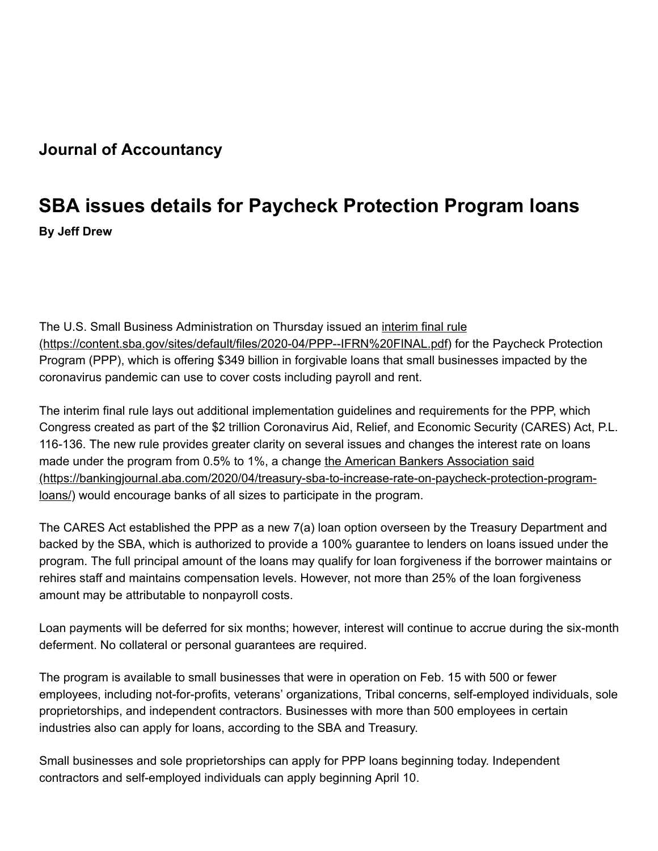## **Journal of Accountancy**

## **SBA issues details for Paycheck Protection Program loans**

**By Jeff Drew**

The U.S. Small Business Administration on Thursday issued an *interim final rule* [\(https://content.sba.gov/sites/default/files/2020-04/PPP--IFRN%20FINAL.pdf\) for](https://content.sba.gov/sites/default/files/2020-04/PPP--IFRN%20FINAL.pdf) the Paycheck Protection Program (PPP), which is offering \$349 billion in forgivable loans that small businesses impacted by the coronavirus pandemic can use to cover costs including payroll and rent.

The interim final rule lays out additional implementation guidelines and requirements for the PPP, which Congress created as part of the \$2 trillion Coronavirus Aid, Relief, and Economic Security (CARES) Act, P.L. 116-136. The new rule provides greater clarity on several issues and changes the interest rate on loans made under the program from 0.5% to 1%, a change the American Bankers Association said [\(https://bankingjournal.aba.com/2020/04/treasury-sba-to-increase-rate-on-paycheck-protection-program](https://bankingjournal.aba.com/2020/04/treasury-sba-to-increase-rate-on-paycheck-protection-program-loans/)loans/) would encourage banks of all sizes to participate in the program.

The CARES Act established the PPP as a new 7(a) loan option overseen by the Treasury Department and backed by the SBA, which is authorized to provide a 100% guarantee to lenders on loans issued under the program. The full principal amount of the loans may qualify for loan forgiveness if the borrower maintains or rehires staff and maintains compensation levels. However, not more than 25% of the loan forgiveness amount may be attributable to nonpayroll costs.

Loan payments will be deferred for six months; however, interest will continue to accrue during the six-month deferment. No collateral or personal guarantees are required.

The program is available to small businesses that were in operation on Feb. 15 with 500 or fewer employees, including not-for-profits, veterans' organizations, Tribal concerns, self-employed individuals, sole proprietorships, and independent contractors. Businesses with more than 500 employees in certain industries also can apply for loans, according to the SBA and Treasury.

Small businesses and sole proprietorships can apply for PPP loans beginning today. Independent contractors and self-employed individuals can apply beginning April 10.